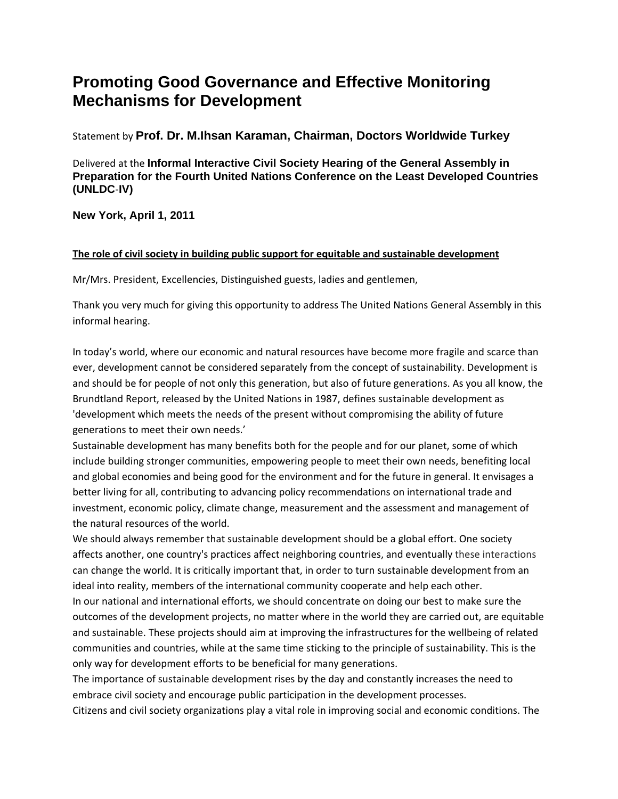## **Promoting Good Governance and Effective Monitoring Mechanisms for Development**

Statement by **Prof. Dr. M.Ihsan Karaman, Chairman, Doctors Worldwide Turkey** 

Delivered at the **Informal Interactive Civil Society Hearing of the General Assembly in Preparation for the Fourth United Nations Conference on the Least Developed Countries (UNLDC**‐**IV)** 

**New York, April 1, 2011**

## **The role of civil society in building public support for equitable and sustainable development**

Mr/Mrs. President, Excellencies, Distinguished guests, ladies and gentlemen,

Thank you very much for giving this opportunity to address The United Nations General Assembly in this informal hearing.

In today's world, where our economic and natural resources have become more fragile and scarce than ever, development cannot be considered separately from the concept of sustainability. Development is and should be for people of not only this generation, but also of future generations. As you all know, the Brundtland Report, released by the United Nations in 1987, defines sustainable development as 'development which meets the needs of the present without compromising the ability of future generations to meet their own needs.'

Sustainable development has many benefits both for the people and for our planet, some of which include building stronger communities, empowering people to meet their own needs, benefiting local and global economies and being good for the environment and for the future in general. It envisages a better living for all, contributing to advancing policy recommendations on international trade and investment, economic policy, climate change, measurement and the assessment and management of the natural resources of the world.

We should always remember that sustainable development should be a global effort. One society affects another, one country's practices affect neighboring countries, and eventually these interactions can change the world. It is critically important that, in order to turn sustainable development from an ideal into reality, members of the international community cooperate and help each other.

In our national and international efforts, we should concentrate on doing our best to make sure the outcomes of the development projects, no matter where in the world they are carried out, are equitable and sustainable. These projects should aim at improving the infrastructures for the wellbeing of related communities and countries, while at the same time sticking to the principle of sustainability. This is the only way for development efforts to be beneficial for many generations.

The importance of sustainable development rises by the day and constantly increases the need to embrace civil society and encourage public participation in the development processes.

Citizens and civil society organizations play a vital role in improving social and economic conditions. The